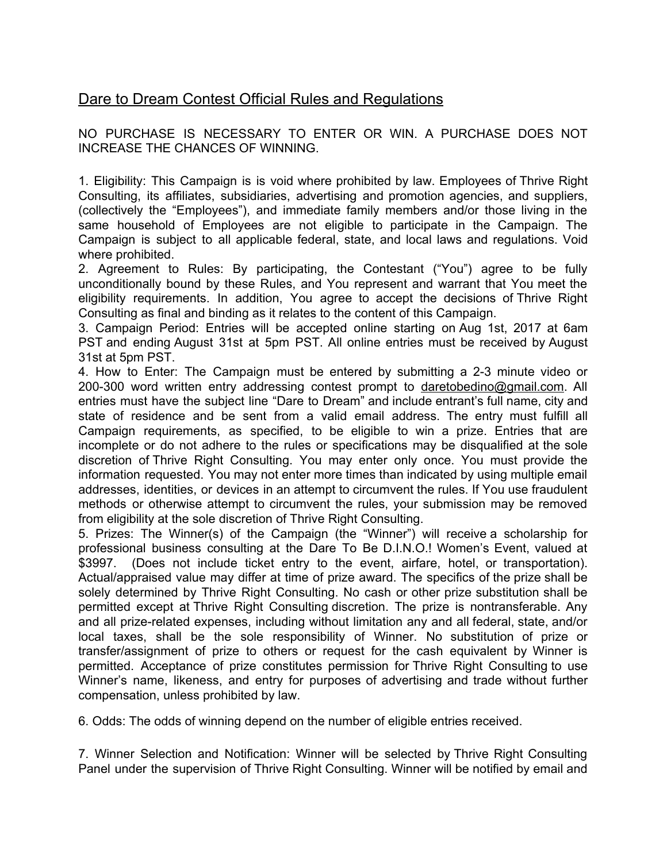## Dare to Dream Contest Official Rules and Regulations

NO PURCHASE IS NECESSARY TO ENTER OR WIN. A PURCHASE DOES NOT INCREASE THE CHANCES OF WINNING.

1. Eligibility: This Campaign is is void where prohibited by law. Employees of Thrive Right Consulting, its affiliates, subsidiaries, advertising and promotion agencies, and suppliers, (collectively the "Employees"), and immediate family members and/or those living in the same household of Employees are not eligible to participate in the Campaign. The Campaign is subject to all applicable federal, state, and local laws and regulations. Void where prohibited.

2. Agreement to Rules: By participating, the Contestant ("You") agree to be fully unconditionally bound by these Rules, and You represent and warrant that You meet the eligibility requirements. In addition, You agree to accept the decisions of Thrive Right Consulting as final and binding as it relates to the content of this Campaign.

3. Campaign Period: Entries will be accepted online starting on Aug 1st, 2017 at 6am PST and ending August 31st at 5pm PST. All online entries must be received by August 31st at 5pm PST.

4. How to Enter: The Campaign must be entered by submitting a 2-3 minute video or 200-300 word written entry addressing contest prompt to [daretobedino@gmail.com.](mailto:daretobedino@gmail.com) All entries must have the subject line "Dare to Dream" and include entrant's full name, city and state of residence and be sent from a valid email address. The entry must fulfill all Campaign requirements, as specified, to be eligible to win a prize. Entries that are incomplete or do not adhere to the rules or specifications may be disqualified at the sole discretion of Thrive Right Consulting. You may enter only once. You must provide the information requested. You may not enter more times than indicated by using multiple email addresses, identities, or devices in an attempt to circumvent the rules. If You use fraudulent methods or otherwise attempt to circumvent the rules, your submission may be removed from eligibility at the sole discretion of Thrive Right Consulting.

5. Prizes: The Winner(s) of the Campaign (the "Winner") will receive a scholarship for professional business consulting at the Dare To Be D.I.N.O.! Women's Event, valued at \$3997. (Does not include ticket entry to the event, airfare, hotel, or transportation). Actual/appraised value may differ at time of prize award. The specifics of the prize shall be solely determined by Thrive Right Consulting. No cash or other prize substitution shall be permitted except at Thrive Right Consulting discretion. The prize is nontransferable. Any and all prize-related expenses, including without limitation any and all federal, state, and/or local taxes, shall be the sole responsibility of Winner. No substitution of prize or transfer/assignment of prize to others or request for the cash equivalent by Winner is permitted. Acceptance of prize constitutes permission for Thrive Right Consulting to use Winner's name, likeness, and entry for purposes of advertising and trade without further compensation, unless prohibited by law.

6. Odds: The odds of winning depend on the number of eligible entries received.

7. Winner Selection and Notification: Winner will be selected by Thrive Right Consulting Panel under the supervision of Thrive Right Consulting. Winner will be notified by email and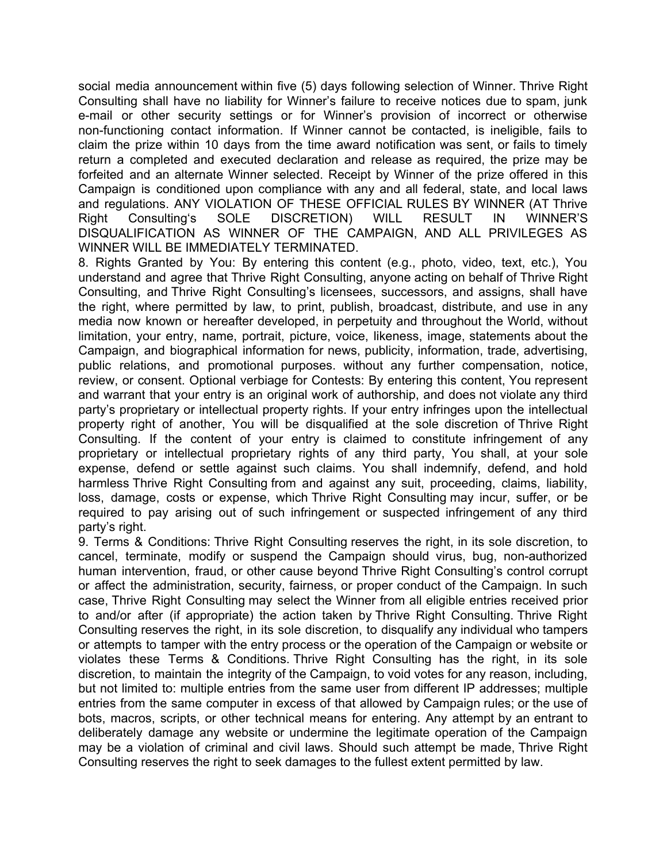social media announcement within five (5) days following selection of Winner. Thrive Right Consulting shall have no liability for Winner's failure to receive notices due to spam, junk e-mail or other security settings or for Winner's provision of incorrect or otherwise non-functioning contact information. If Winner cannot be contacted, is ineligible, fails to claim the prize within 10 days from the time award notification was sent, or fails to timely return a completed and executed declaration and release as required, the prize may be forfeited and an alternate Winner selected. Receipt by Winner of the prize offered in this Campaign is conditioned upon compliance with any and all federal, state, and local laws and regulations. ANY VIOLATION OF THESE OFFICIAL RULES BY WINNER (AT Thrive Right Consulting's SOLE DISCRETION) WILL RESULT IN WINNER'S DISQUALIFICATION AS WINNER OF THE CAMPAIGN, AND ALL PRIVILEGES AS WINNER WILL BE IMMEDIATELY TERMINATED.

8. Rights Granted by You: By entering this content (e.g., photo, video, text, etc.), You understand and agree that Thrive Right Consulting, anyone acting on behalf of Thrive Right Consulting, and Thrive Right Consulting's licensees, successors, and assigns, shall have the right, where permitted by law, to print, publish, broadcast, distribute, and use in any media now known or hereafter developed, in perpetuity and throughout the World, without limitation, your entry, name, portrait, picture, voice, likeness, image, statements about the Campaign, and biographical information for news, publicity, information, trade, advertising, public relations, and promotional purposes. without any further compensation, notice, review, or consent. Optional verbiage for Contests: By entering this content, You represent and warrant that your entry is an original work of authorship, and does not violate any third party's proprietary or intellectual property rights. If your entry infringes upon the intellectual property right of another, You will be disqualified at the sole discretion of Thrive Right Consulting. If the content of your entry is claimed to constitute infringement of any proprietary or intellectual proprietary rights of any third party, You shall, at your sole expense, defend or settle against such claims. You shall indemnify, defend, and hold harmless Thrive Right Consulting from and against any suit, proceeding, claims, liability, loss, damage, costs or expense, which Thrive Right Consulting may incur, suffer, or be required to pay arising out of such infringement or suspected infringement of any third party's right.

9. Terms & Conditions: Thrive Right Consulting reserves the right, in its sole discretion, to cancel, terminate, modify or suspend the Campaign should virus, bug, non-authorized human intervention, fraud, or other cause beyond Thrive Right Consulting's control corrupt or affect the administration, security, fairness, or proper conduct of the Campaign. In such case, Thrive Right Consulting may select the Winner from all eligible entries received prior to and/or after (if appropriate) the action taken by Thrive Right Consulting. Thrive Right Consulting reserves the right, in its sole discretion, to disqualify any individual who tampers or attempts to tamper with the entry process or the operation of the Campaign or website or violates these Terms & Conditions. Thrive Right Consulting has the right, in its sole discretion, to maintain the integrity of the Campaign, to void votes for any reason, including, but not limited to: multiple entries from the same user from different IP addresses; multiple entries from the same computer in excess of that allowed by Campaign rules; or the use of bots, macros, scripts, or other technical means for entering. Any attempt by an entrant to deliberately damage any website or undermine the legitimate operation of the Campaign may be a violation of criminal and civil laws. Should such attempt be made, Thrive Right Consulting reserves the right to seek damages to the fullest extent permitted by law.